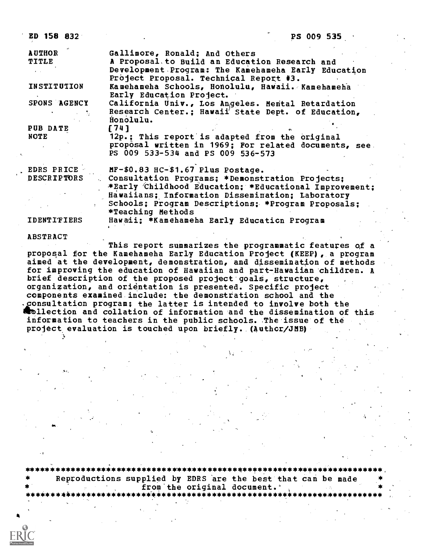ED 158 832 PS 009 535 AUTHOR Gallimore, Ronald; And Others A Proposal, to Build an Education Research and Development Program: The Kamehameha Early Education Project Proposal. Technical Report #3. INSTITUTION Kamehameha Schools, Honolulu, Hawaii. Kamehamelia Early Education Project. SPONS AGENCY California Univ., Los Augeles. Mental Retardation Research Center.; Hawaii' State Dept. of Education, Honolulu.<br>[74] PUB DATE<br>NOTE 12p.; This report is adapted from the original proposal written in 1969; For related documents, see. PS 009 533-534 and PS 009 536-573 EDRS PRICE MF-\$0.83 HC-\$1.67 Plus Postage.<br>DESCRIPTORS Consultation Programs: \*Demonst Consultation Programs; \*Demonstration Projects; \*Early 'Childhood Education; \*Educational Improvement; Hawaiians; Information Dissemination; Laboratory Schools; Program Descriptions;. \*Program Proposals; \*Teaching Methods IDENTIFIERS Hawaii; \*Kamehameha Early Educaticn Program

ABSTRACT

This report summarizes the programmatic features of a proposal for the Kamehameha Early Education Project (KEEP), a program aimed at the development, demonstration, and dissemination of methods for improving the education of Hawaiian and part-Hawaiian children. A brief description of the proposed project goals, structure, organization, and orientation is presented. Specific project components examined include: the demonstration school and the onsultation program; the latter is intended to involve both the **Rollection and collation of information and the dissemination of this** information to teachers in the public schools. The issue of the project evaluation is touched upon briefly. (Authcr/JMB)

\*\*\*\*\*\*\*\*\*\*\*\*\*\*\*\*\*\*\*\*\*\*\*\*\*\*\*\*\*\*\*\*\*\*\*\*\*\*\*\*\*\*\*\*\*\*\*\*\*\*\*\*\*\*\*\*\*\*\*\*\*\*\*\*\*\*\*\*\*\*\* Reproductions supplied by EDRS are the best that can be made \* from.the original document.' \* \*\*\*\*\*\*\*\*\*\*\*\*\*\*\*\*\*\*\*\*\*\*\*\*\*-\*\*\*\*\*\*\*\*\*\*\*\*\*\*\*\*\*\*\*\*\*\*\*\*\*\*\*\*\*\*\*\*\*\*\*\*\*\*\*\*\*\*\*\*\*\*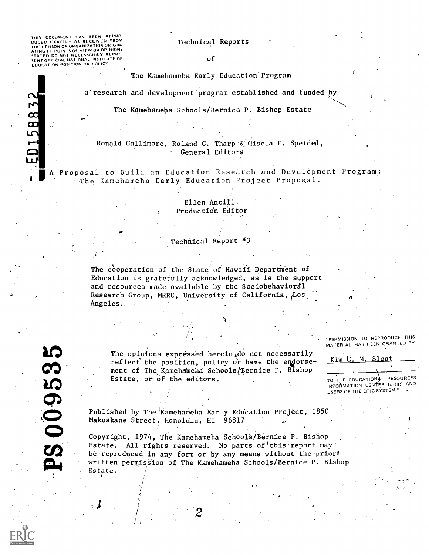THIS DOCUMENT HAS BEEN REPRO:<br>DUCED EXACTLY AS RECEIVED FROM<br>THE PERSON OR ORGANIZATION ORIGIN-<br>THE PERSON OR ORGANIZATION ORIGIN-<br>STATED DO NOT NECESSARILY REPRE-<br>SENTOFFICIAL NATIONAL INSTITUTE OF<br>EDUCATION POSITION OR P

ED15883

### Technical Reports

of

The Kamehameha Early Education Program

a'research and development program established and funded by

The Kamehameha Schools/Bernice P.. Bishop Estate

### Ronald Gallimore, Roland G. Tharp & Gisela E. Speided, General Editors

MIA Proposal to Build an Education Research and Development Program: 'The Kamehameha Early Education:Project Proposal.

## ,Ellen Antill. Productidn Editor

#### Technical Report #3

 $\mathbf{v} = \mathbf{v}$ 

The cooperation of the State of Hawaii Department of Education is gratefully acknowledged, as is the support and resources made available by the Sociobehavioral Research Group, MRRC, University of California,  $\overline{\text{cos}}$ Angeles.

The opinions expressed herein, do not necessarily reflect the position, policy or have the endorsement of The Kamehameha Schools/Bernice P. Bishop Estate, or of the editors,

"PERMISSION TO REPRODUCE THIS 'MATERIAL HAS BEEN GRANTED BY

Kim C. <u>M. Sloa</u>

TO THE EDUCATIONAL RESOURCES INFORMATION CENTER (ERIC) AND USERS OF THE ERIC SYSTEM."

Published by The Kamehameha Early Education Project, 1850 Makuakane Street, Honolulu, HI '96817

Copyright, 1974, The Kamehameha Schools/Bernice P. Bishop Estate. All rights reserved. No parts of this report may be reproduced in any form or by any means without the prior written permission of The Kamehameha Schools/Bernice P. Bishop Estate. Makuakane Stre<br>Copyright, 197<br>Estate. All r<br>be reproduced<br>written permis<br>Estate.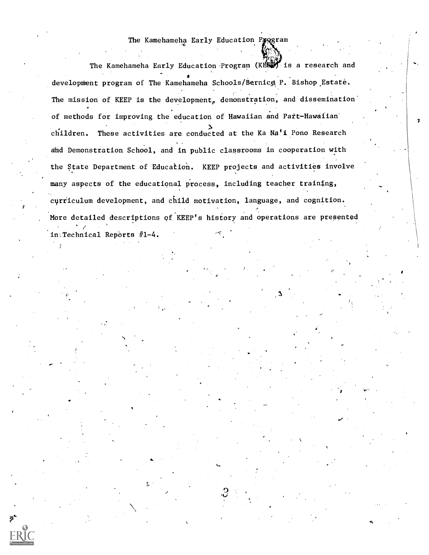## The Kamehameha Early Education Pyggram

The Kamehameha Early Education Program (KBS) is a research and development program of The Kamehameha Schools/Bernics P. Bishop Estate. The mission of KEEP is the development, demonstration, and dissemination' of methods for improving the education of Hawaiian and Part-Hawaiian<sup>-</sup> children. These activities are conducted at the Ka Na'i Pono Research and Demonstration School, and in public classrooms in cooperation with the State Department of Education. KEEP projects and activities involve many aspects of the educational process, including teacher training, curriculum development, and child motivation, language, and cognition. More detailed descriptions of KEEP's history and operations are presented  $in_{\mathbb{N}}$ Technical Reports #1-4.

 $\mathbf{c}$ 

V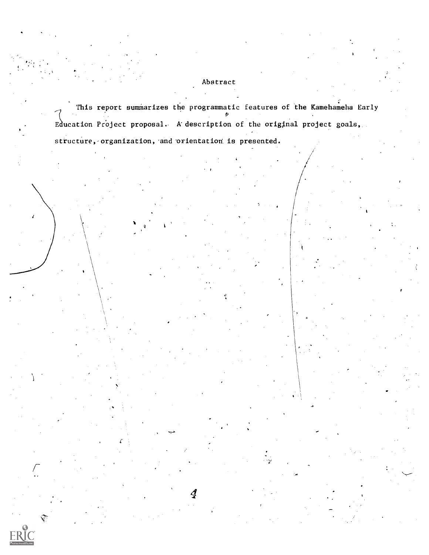# Abstract

This report summarizes the programmatic features of the Kamehameha Early Education Project proposal. A description of the original project goals,

structure, organization, and orientation is presented.

4

 $\mathcal{L}=\frac{1}{2} \sum_{i=1}^{n} \frac{1}{2} \sum_{j=1}^{n} \frac{1}{2} \sum_{j=1}^{n} \frac{1}{2} \sum_{j=1}^{n} \frac{1}{2} \sum_{j=1}^{n} \frac{1}{2} \sum_{j=1}^{n} \frac{1}{2} \sum_{j=1}^{n} \frac{1}{2} \sum_{j=1}^{n} \frac{1}{2} \sum_{j=1}^{n} \frac{1}{2} \sum_{j=1}^{n} \frac{1}{2} \sum_{j=1}^{n} \frac{1}{2} \sum_{j=1}^{n} \frac{1}{2} \sum_{$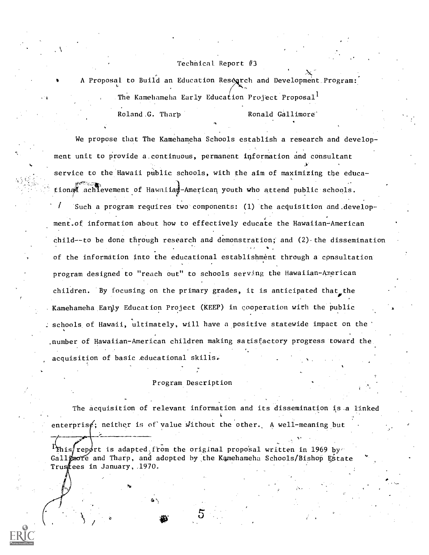### Technical Report  $#3$

A Proposal to Build an Education Research and Development Program: The Kamehameha Early Education Project Proposal<sup>1</sup>

Roland.G. Tharp Ronald Gallimore

We propose that The Kamehameha Schools establish a research and development unit to provide a,continuous, permanent information and consultant service to the Hawaii public schools, with the aim of maximizing the educa-, and the contraction of  $\mathcal{L}$  . The contraction of  $\mathcal{L}$ tional achievement of Hawniiad-American youth who attend public schools. Such a program requires two components: (1) the acquisition and development.of information about how to effectively educate the Hawaiian - American child--to be done through research and demonstration; and  $(2)$  the dissemination of the information into the educational establishment through a consultation program designed to "reach out" to schools serving the Hawaiian-American children. By focusing on the primary grades, it is anticipated that the Kamehameha Eanly Education Project (KEEP) in cooperation with the public schools of Hawaii, ultimately, will have a positive statewide impact on the .number of Hawaiian-American children making satisfactory progress toward the. acquisition of basic educational skills.

### Program Description

The acquisition of relevant information and its dissemination is.a linked enterprisg; neither is of value without the other. A well-meaning but

report is adapted from the original proposal written in 1969 by  $\sigma$ Gallimore and Tharp, and adopted by the Kamehameha Schools/Bishop Estate Trustees in January, 1970.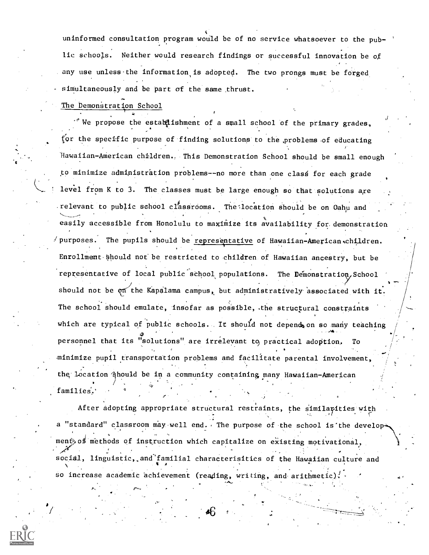uninformed consultation program would be of no service whatsoever to the pub- ' lic schools. Neither would research findings or successful innovation be of any use unless the information is adopted. The two prongs must be forged simultaneously and be part of the same ,thrust.

The Demonstration School

 $\cdot$  We propose the establishment of a small school of the primary grades, for the specific purpose of finding solutions to the problems of educating Hawaiian-AMerican children., This Demonstration School should be small enough to minimize administration problems--no more than one clas6 for each grade level from K to 3. The classes must be large enough so that solutions are relevant to public school classrooms. The location should be on Oahu and easily accessible from Honolulu to maximize its availability for. demonstration  $\ell$  purposes. The pupils should be representative of Hawaiian-American children. Enrollment-Should not be restricted to children of Hawaiian ancestry, but be representative of local public school populations. The Demonstration School should not be on the Kapalama campus, but administratively associated with it. The school should emulate, insofar as possible, the structural constraints which are typical of public schools. It should not depend on so many teaching ,,411 personnel that its "solutions" are irrelevant to practical adoption. To minimize pupil transportation problems and facilitate parental involvement, the location §hould be in a community containing many Hawaiian-American families.'

After adopting appropriate structural restraints, the similarities with **C** and the second second a "standard" classroom may well end. The purpose of the school is'the development of methods of instruction which capitalize on existing motivational, social, linguistic, and familial characterisitics of the Hawaiian culture and so increase academic achievement (reading, writing, and arithmetic).

0".

 $"$  :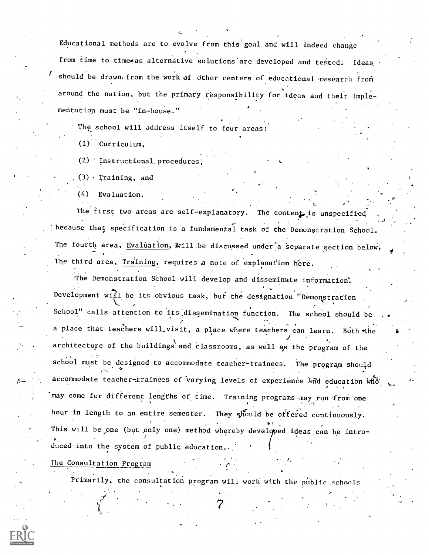Educational methods are to evolve from this goal and will indeed change from time to time as alternative solutions are developed and tested. Ideas, should be drawn from the work of other centers of educational research from around the nation, but the primary responsibility for ideas and their imple mentatiop must be "in-house."

The school will address itself to four areas:

(1) Curriculum,

(2) Instructional:procedures;

(3) . Training, and

(4) Evaluation. .

The first two areas are self-explanatory. The content is unspecified because that specification is a fundamental task of the Demonstration School. The fourth area, Evaluation, will be discussed under a separate section below. The third area, Training, requires a note of explanation here.

The Demonstration School will develop and disseminate information: Development will be its obvious task, but the designation "Demonstration School" calls attention to its.dissemination function. The school should be  $J = \frac{1}{2}$ a place that teachers will visit, a place where teachers can learn. Both the  $\longrightarrow$  $J$  is a set of  $J$ architecture of the buildings and classrooms, as well as the program of the school must be designed to accommodate teacher-trainees. The program should accommodate teacher-trainees of varying levels of experience and education who may come for different lengths of time. Training programs may run from one hour in length to an entire semester. They should be offered continuously. This will be one (but only one) method whereby developed ideas can be introduced into the system of public education:.

The Consultation Program

Primarily, the consultation program will work with the public schools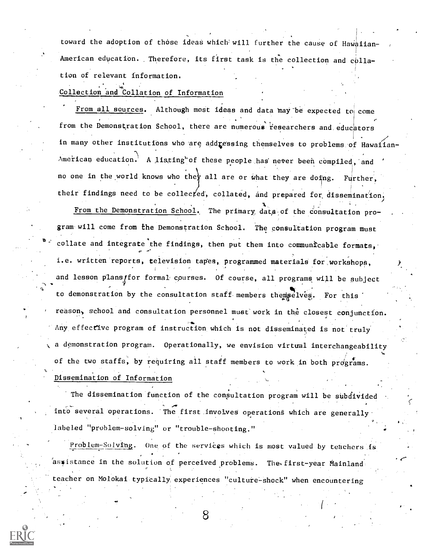toward the adoption of those ideas which will further the cause of Hawaiian-American education. Therefore, its first task is the collection and collation of relevant information.

# Collection and Collation of Information

From all sources. Although most ideas and data may be expected to come from the Demonstration School, there are numerous researchers and educators in many other institutions who are addressing themselves to problems of Hawaiian-American education. A listing of these people has never been compiled, and no one in the world knows who they all are or what they are doing. Further, their findings need to be collected, collated, and prepared for dissemination, From the Demonstration School. The primary data of the consultation program will come from the Demonstration School. The consultation program must collate and integrate the findings, then put them into communicable formats, i.e. written reports, television tapes, programmed materials for workshops, and lesson plans/for formal courses. Of course, all programs will be subject to demonstration by the consultation staff members thempelves. For this reason., school and consultation personnel must' work in the closest conjunction. Any effective program of instruction which is not disseminated is not truly a demonstration program. Operationally, we envision virtual interchangeability of the two staffs, by requiring all staff members to work in both programs. Dissemination of Information

The dissemination function of the consultation program will be subdivided into several operations. 'The first .involves operations which are generally. labeled "problem-solving" or "trouble-shooting."

Problem-Solving. One of the services which is most valued by teachers is assistance in the solution of perceived problems. The first-year Mainland teacher on Molokai typically experiences "culture-shock" when encountering

 $\epsilon$ 



8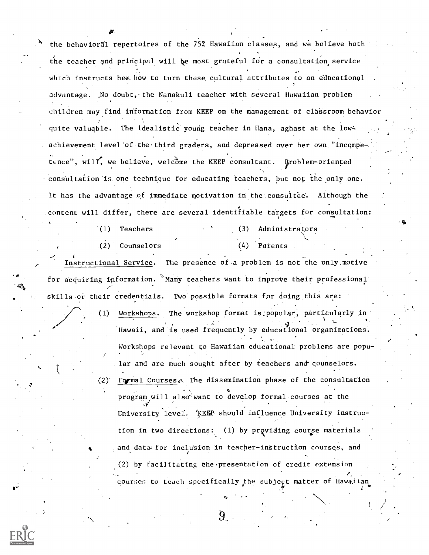the behavioral repertoires of the 75% Hawaiian classes, and we believe both the teacher and principal will be most grateful for a consultation service which instructs her. how to turn these cultural attributes to an educational advantage. ,No doubt, the Nanakuli teacher with several Hawaiian problem children may find information from KEEP on the management of classroom behavior 1 quite valuable. The idealistic young teacher in Hana, aghast at the lowachievement level'of the third graders, and depressed over her own "incompe-, . . tence", will, we believe, welcome the KEEP consultant. Eroblem-oriented consultation is one technique for educating teachers, but not the only one. It has the advantage of immediate motivation in the consultee. Although the content will differ, there are several identifiable targets for consultation:

(1) Teachers (3) Administrators

dre en de la provincia de la provincia de la provincia de la provincia de la provincia de la provincia de la p<br>De la provincia de la provincia de la provincia de la provincia de la provincia de la provincia de la provinci

(2) Counselors (4) Patents

Instructional Service. The presence of a problem is not the only motive for acquiring information.  $\degree$ Many teachers want to improve their professional skills or their credentials. Two possible formats for doing this are:

> (1) Workshops. The workshop format is:popular, particularly in' V Hawaii, and is used frequently by educational organizations. Workshops relevant to Hawaiian educational problems are popu- $\mathbf{v}$ lar and are much sought after by teachers and counselors.

 $(2)$ <sup>-</sup> Formal Courses. The dissemination phase of the consultation o program will also want to develop formal courses at the University level. KEEP should influence University instruction in two directions:  $(1)$  by providing course materials and data for inclusion in teacher-instruction courses, and (2) by facilitating the presentation of credit extension courses to teach specifically the subject matter of Hawaiian



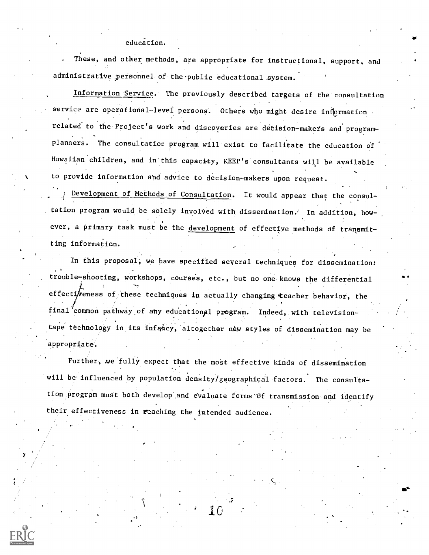#### education.

These, and other methods, are appropriate for instructional, support, and administrative personnel of the public educational system.

ar

Mt

Information Service. The previously described targets of the consultation service are operational-level persons. Others who might desire information related to the Project's work and discoveries are decision-makers and programplanners. The consultation program will exist to facilitate the education of Hawaiian children, and in'this capacity, KEEP's consultants will be available to provide information and advice to decision-makers upon request.

 $\qquad \qquad$ ) Development of Methods of Consultation. It would appear that the consultation program would be solely involved with dissemination.' In addition, however, a primary task must be the development of effective methods of transmitting information.

In this proposal, we have specified several techniques for dissemination: trouble-shooting, workshops, courses, etc., but no one knows the differential effectioness of these techniques in actually changing teacher behavior, the final common pathway of any educational program. Indeed, with televisiontape technology in its infancy, altogether new styles of dissemination may be appropriate'.

Further, we fully expect that the most effective kinds of dissemination will be influenced by population density/geographical factors. The consultation program must both develop'and evaluate forms-of transmission and identify their effectiveness in reaching the intended audience.

 $10$  and  $\sim$ 

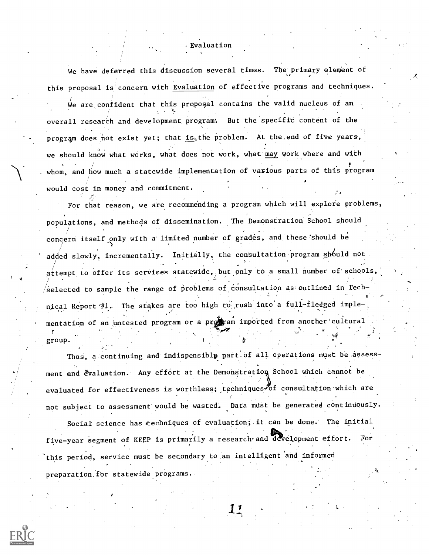We have deferred this discussion several times. The primary element of this proposal is concern with Evaluation of effective programs and techniques. We are confident that this proposal contains the valid nucleus of an overall research and development program: .But the specific content of the program does not exist yet; that is the problem. At the end of five years, we should know what works, what does not work, what may work where and with whom, and how much a statewide implementation of various parts of this program would cost in money and commitment.

, Evaluation

For that reason, we are recommending a program which will explore problems, populations, and methods of dissemination. The Demonstration School should concern itself only with a limited number of grades, and these should be  $\qquad \qquad \ldots$ the contract of the contract of the contract of the contract of the contract of the contract of the contract of the contract of the contract of the contract of the contract of the contract of the contract of the contract o added slowly, incrementally. Initially, the consultation program should not ) attempt to offer its services statewide, but only to a small number of schools, /selected to sample the range of problems of consultation as outlined in Technical Report  $\#1$ . The stakes are too high to rush into a full-fledged implementation of an untested program or a propram imported from another cultural ),4. group.

Thus, a continuing and indispensible part of all operations must be assessevaluated for effectiveness is worthless; techniques of consultation which are ment and evaluation. Any effort at the Demonstration School which cannot be not subject to assessment' would be wasted, Data must be generated continuously.

Social science has techniques of evaluation; it can be done. The initial five-year segment of KEEP is primarily a research and development effort. For this period, service must be. secondary to an intelligent and informed preparation,for statewide programs.

11